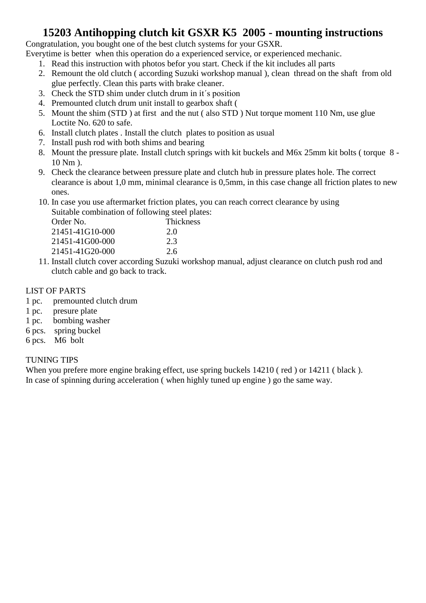### **15203 Antihopping clutch kit GSXR K5 2005 - mounting instructions**

Congratulation, you bought one of the best clutch systems for your GSXR.

Everytime is better when this operation do a experienced service, or experienced mechanic.

- 1. Read this instruction with photos befor you start. Check if the kit includes all parts
- 2. Remount the old clutch ( according Suzuki workshop manual ), clean thread on the shaft from old glue perfectly. Clean this parts with brake cleaner.
- 3. Check the STD shim under clutch drum in it´s position
- 4. Premounted clutch drum unit install to gearbox shaft (
- 5. Mount the shim (STD ) at first and the nut ( also STD ) Nut torque moment 110 Nm, use glue Loctite No. 620 to safe.
- 6. Install clutch plates . Install the clutch plates to position as usual
- 7. Install push rod with both shims and bearing
- 8. Mount the pressure plate. Install clutch springs with kit buckels and M6x 25mm kit bolts ( torque 8 10 Nm ).
- 9. Check the clearance between pressure plate and clutch hub in pressure plates hole. The correct clearance is about 1,0 mm, minimal clearance is 0,5mm, in this case change all friction plates to new ones.
- 10. In case you use aftermarket friction plates, you can reach correct clearance by using Suitable combination of following steel plates:

| Order No.       | Thickness |  |
|-----------------|-----------|--|
| 21451-41G10-000 | 2.0       |  |
| 21451-41G00-000 | 2.3       |  |
| 21451-41G20-000 | 2.6       |  |
|                 |           |  |

11. Install clutch cover according Suzuki workshop manual, adjust clearance on clutch push rod and clutch cable and go back to track.

#### LIST OF PARTS

- 1 pc. premounted clutch drum
- 1 pc. presure plate
- 1 pc. bombing washer
- 6 pcs. spring buckel
- 6 pcs. M6 bolt

#### TUNING TIPS

When you prefere more engine braking effect, use spring buckels  $14210$  (red) or  $14211$  (black). In case of spinning during acceleration ( when highly tuned up engine ) go the same way.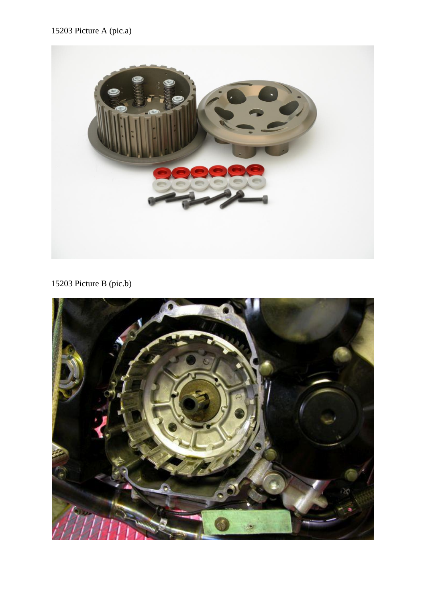### 15203 Picture A (pic.a)



## 15203 Picture B (pic.b)

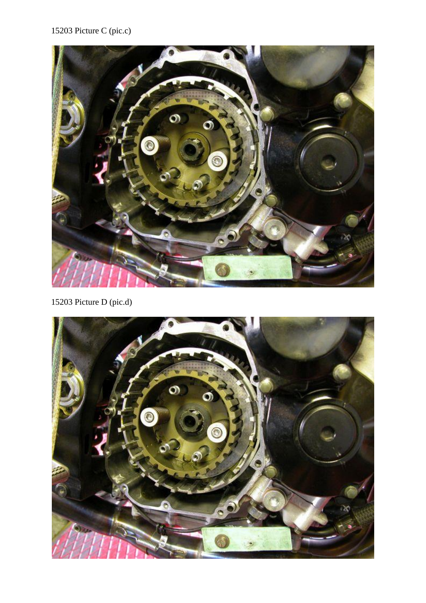## 15203 Picture C (pic.c)



15203 Picture D (pic.d)

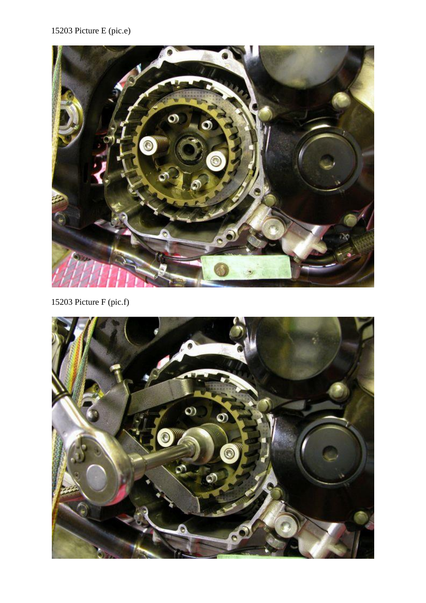# 15203 Picture E (pic.e)



15203 Picture F (pic.f)

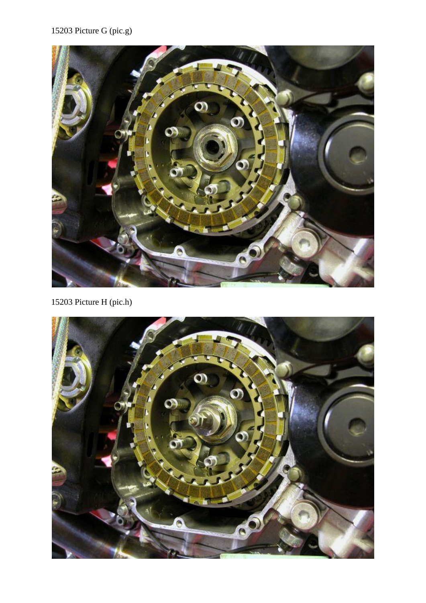### 15203 Picture G (pic.g)



15203 Picture H (pic.h)

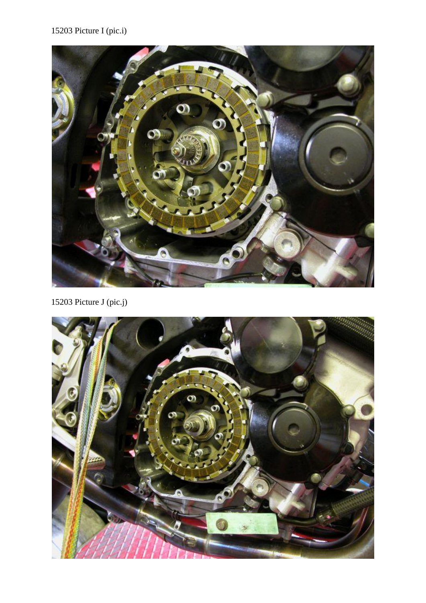### 15203 Picture I (pic.i)



15203 Picture J (pic.j)